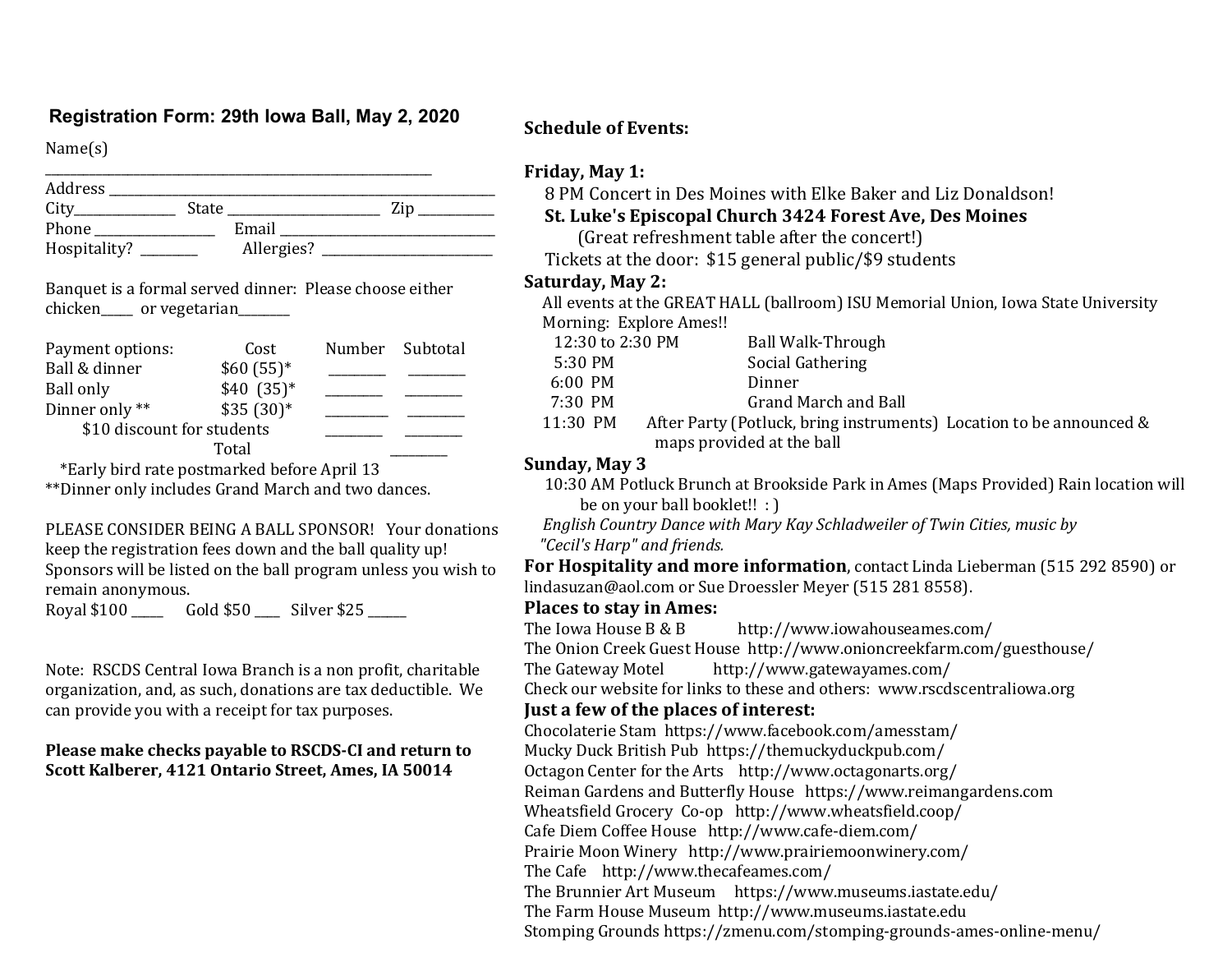## **Registration Form: 29th Iowa Ball, May 2, 2020 Schedule of Events:**

Name(s) 

| Address      |       |            |     |
|--------------|-------|------------|-----|
| City         | State |            | Zin |
| Phone        |       | Email      |     |
| Hospitality? |       | Allergies? |     |

Banquet is a formal served dinner: Please choose either chicken or vegetarian

| Payment options:           | Cost       | Number Subtotal |
|----------------------------|------------|-----------------|
| Ball & dinner              | $$60(55)*$ |                 |
| Ball only                  | $$40(35)*$ |                 |
| Dinner only **             | $$35(30)*$ |                 |
| \$10 discount for students |            |                 |
|                            |            |                 |

 \*Early bird rate postmarked before April 13 \*\*Dinner only includes Grand March and two dances.

PLEASE CONSIDER BEING A BALL SPONSOR! Your donations keep the registration fees down and the ball quality up! Sponsors will be listed on the ball program unless you wish to remain anonymous.

Royal \$100 \_\_\_\_\_ Gold \$50 \_\_\_\_ Silver \$25 \_\_\_\_\_\_ 

Note: RSCDS Central Iowa Branch is a non profit, charitable organization, and, as such, donations are tax deductible. We can provide you with a receipt for tax purposes.

#### Please make checks payable to RSCDS-CI and return to **Scott Kalberer, 4121 Ontario Street, Ames, IA 50014**

#### **Friday, May 1:**

8 PM Concert in Des Moines with Elke Baker and Liz Donaldson!

#### **St. Luke's Episcopal Church 3424 Forest Ave, Des Moines**

(Great refreshment table after the concert!)

Tickets at the door: \$15 general public/\$9 students

#### **Saturday, May 2:**

All events at the GREAT HALL (ballroom) ISU Memorial Union, Iowa State University Morning: Explore Ames!!

| 12:30 to 2:30 PM | Ball Walk-Through                                                   |  |
|------------------|---------------------------------------------------------------------|--|
| 5:30 PM          | Social Gathering                                                    |  |
| $6:00$ PM        | Dinner                                                              |  |
| 7:30 PM          | Grand March and Ball                                                |  |
| 11:30 PM         | After Party (Potluck, bring instruments) Location to be announced & |  |
|                  | maps provided at the ball                                           |  |

#### **Sunday, May 3**

 10:30 AM Potluck Brunch at Brookside Park in Ames (Maps Provided) Rain location will be on your ball booklet!!  $:$  )

*English Country Dance with Mary Kay Schladweiler of Twin Cities, music by "Cecil's Harp" and friends.*

**For Hospitality and more information**, contact Linda Lieberman (515 292 8590) or lindasuzan@aol.com or Sue Droessler Meyer (515 281 8558).

#### **Places to stay in Ames:**

The Iowa House  $B & B$  http://www.iowahouseames.com/ The Onion Creek Guest House http://www.onioncreekfarm.com/guesthouse/ The Gateway Motel http://www.gatewayames.com/ Check our website for links to these and others: www.rscdscentraliowa.org **Just a few of the places of interest:** Chocolaterie Stam https://www.facebook.com/amesstam/ Mucky Duck British Pub https://themuckyduckpub.com/ Octagon Center for the Arts http://www.octagonarts.org/ Reiman Gardens and Butterfly House https://www.reimangardens.com Wheatsfield Grocery Co-op http://www.wheatsfield.coop/ Cafe Diem Coffee House http://www.cafe-diem.com/ Prairie Moon Winery http://www.prairiemoonwinery.com/ The Cafe http://www.thecafeames.com/ The Brunnier Art Museum https://www.museums.iastate.edu/ The Farm House Museum http://www.museums.iastate.edu

Stomping Grounds https://zmenu.com/stomping-grounds-ames-online-menu/